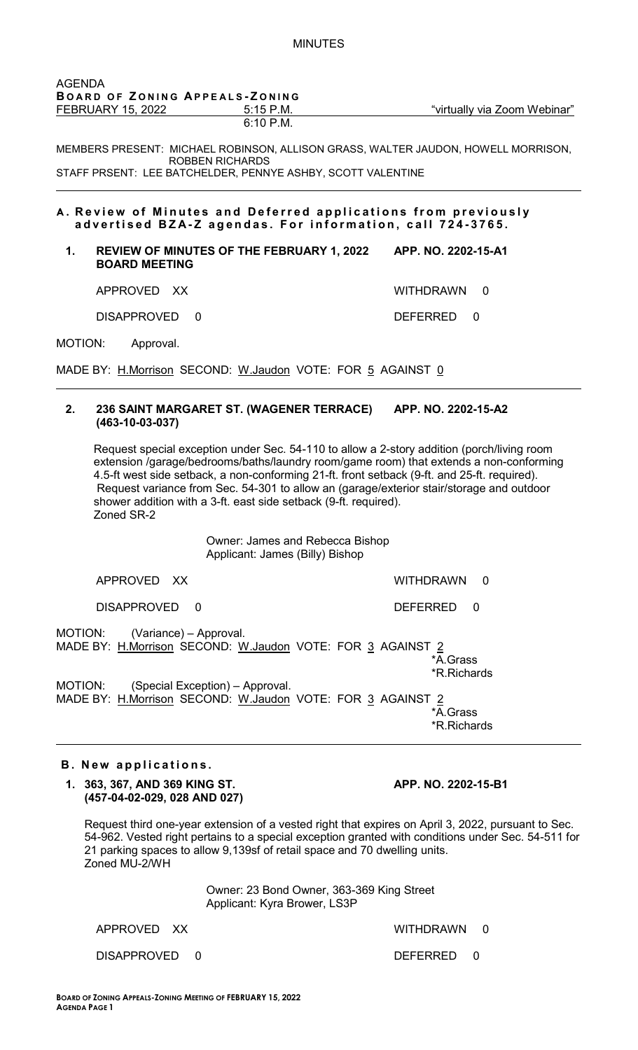| <b>AGENDA</b> | BOARD OF ZONING APPEALS-ZONING                                                                                                                                                                   |                                                                                                                                                                                                                                                                                                                                                                                  |
|---------------|--------------------------------------------------------------------------------------------------------------------------------------------------------------------------------------------------|----------------------------------------------------------------------------------------------------------------------------------------------------------------------------------------------------------------------------------------------------------------------------------------------------------------------------------------------------------------------------------|
|               | <b>FEBRUARY 15, 2022</b><br>$5:15$ P.M.<br>6:10 P.M.                                                                                                                                             | "virtually via Zoom Webinar"                                                                                                                                                                                                                                                                                                                                                     |
|               | <b>ROBBEN RICHARDS</b><br>STAFF PRSENT: LEE BATCHELDER, PENNYE ASHBY, SCOTT VALENTINE                                                                                                            | MEMBERS PRESENT: MICHAEL ROBINSON, ALLISON GRASS, WALTER JAUDON, HOWELL MORRISON,                                                                                                                                                                                                                                                                                                |
|               | advertised BZA-Z agendas. For information, call 724-3765.                                                                                                                                        | A. Review of Minutes and Deferred applications from previously                                                                                                                                                                                                                                                                                                                   |
| 1.            | <b>REVIEW OF MINUTES OF THE FEBRUARY 1, 2022</b><br><b>BOARD MEETING</b>                                                                                                                         | APP. NO. 2202-15-A1                                                                                                                                                                                                                                                                                                                                                              |
|               | APPROVED XX                                                                                                                                                                                      | <b>WITHDRAWN</b><br>$\Omega$                                                                                                                                                                                                                                                                                                                                                     |
|               | <b>DISAPPROVED</b><br>$\Omega$                                                                                                                                                                   | <b>DEFERRED</b><br>$\Omega$                                                                                                                                                                                                                                                                                                                                                      |
| MOTION:       | Approval.                                                                                                                                                                                        |                                                                                                                                                                                                                                                                                                                                                                                  |
|               | MADE BY: H.Morrison SECOND: W.Jaudon VOTE: FOR 5 AGAINST 0                                                                                                                                       |                                                                                                                                                                                                                                                                                                                                                                                  |
|               | shower addition with a 3-ft. east side setback (9-ft. required).<br>Zoned SR-2<br>Owner: James and Rebecca Bishop                                                                                | Request special exception under Sec. 54-110 to allow a 2-story addition (porch/living room<br>extension /garage/bedrooms/baths/laundry room/game room) that extends a non-conforming<br>4.5-ft west side setback, a non-conforming 21-ft. front setback (9-ft. and 25-ft. required).<br>Request variance from Sec. 54-301 to allow an (garage/exterior stair/storage and outdoor |
|               | Applicant: James (Billy) Bishop                                                                                                                                                                  |                                                                                                                                                                                                                                                                                                                                                                                  |
|               | APPROVED XX                                                                                                                                                                                      | <b>WITHDRAWN</b><br>0                                                                                                                                                                                                                                                                                                                                                            |
|               | <b>DISAPPROVED</b><br>0                                                                                                                                                                          | <b>DEFERRED</b><br>$\mathbf 0$                                                                                                                                                                                                                                                                                                                                                   |
| MOTION:       | (Variance) - Approval.<br>MOTION:<br>MADE BY: H.Morrison SECOND: W.Jaudon VOTE: FOR 3 AGAINST 2<br>(Special Exception) - Approval.<br>MADE BY: H.Morrison SECOND: W.Jaudon VOTE: FOR 3 AGAINST 2 | *A.Grass<br><b>*R.Richards</b><br>*A.Grass<br><b>*R.Richards</b>                                                                                                                                                                                                                                                                                                                 |
|               | <b>B.</b> New applications.                                                                                                                                                                      |                                                                                                                                                                                                                                                                                                                                                                                  |
|               | 1. 363, 367, AND 369 KING ST.<br>(457-04-02-029, 028 AND 027)                                                                                                                                    | APP. NO. 2202-15-B1                                                                                                                                                                                                                                                                                                                                                              |
|               |                                                                                                                                                                                                  | Request third one-year extension of a vested right that expires on April 3, 2022, pursuant to Sec.                                                                                                                                                                                                                                                                               |

uest third one-year extension of a vested right that expires on April 3, 2022, pursuant to 54-962. Vested right pertains to a special exception granted with conditions under Sec. 54-511 for 21 parking spaces to allow 9,139sf of retail space and 70 dwelling units. Zoned MU-2/WH

> Owner: 23 Bond Owner, 363-369 King Street Applicant: Kyra Brower, LS3P

APPROVED XX WITHDRAWN 0

DISAPPROVED 0 DEFERRED 0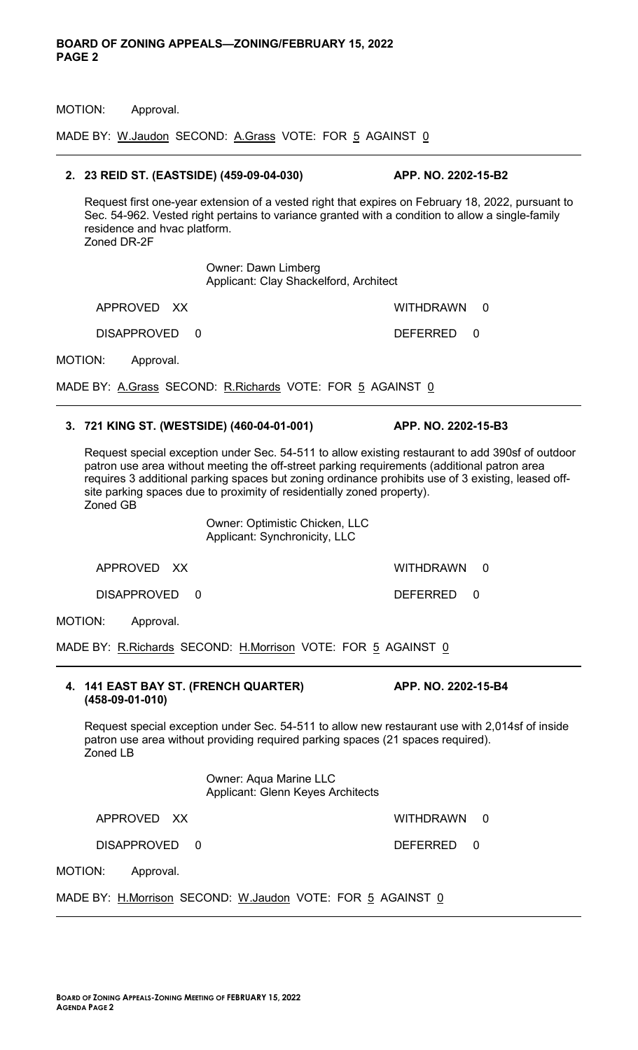MOTION: Approval.

MADE BY: W.Jaudon SECOND: A.Grass VOTE: FOR 5 AGAINST 0

## **2. 23 REID ST. (EASTSIDE) (459-09-04-030) APP. NO. 2202-15-B2**

Request first one-year extension of a vested right that expires on February 18, 2022, pursuant to Sec. 54-962. Vested right pertains to variance granted with a condition to allow a single-family residence and hvac platform. Zoned DR-2F

> Owner: Dawn Limberg Applicant: Clay Shackelford, Architect

APPROVED XX WITHDRAWN 0

MOTION: Approval.

DISAPPROVED 0 DEFERRED 0

MADE BY: A.Grass SECOND: R.Richards VOTE: FOR 5 AGAINST 0

## **3. 721 KING ST. (WESTSIDE) (460-04-01-001) APP. NO. 2202-15-B3**

Request special exception under Sec. 54-511 to allow existing restaurant to add 390sf of outdoor patron use area without meeting the off-street parking requirements (additional patron area requires 3 additional parking spaces but zoning ordinance prohibits use of 3 existing, leased offsite parking spaces due to proximity of residentially zoned property). Zoned GB

> Owner: Optimistic Chicken, LLC Applicant: Synchronicity, LLC

DISAPPROVED 0 DEFERRED 0

MOTION: Approval.

MADE BY: R.Richards SECOND: H.Morrison VOTE: FOR 5 AGAINST 0

## **4. 141 EAST BAY ST. (FRENCH QUARTER) APP. NO. 2202-15-B4 (458-09-01-010)**

Request special exception under Sec. 54-511 to allow new restaurant use with 2,014sf of inside patron use area without providing required parking spaces (21 spaces required). Zoned LB

> Owner: Aqua Marine LLC Applicant: Glenn Keyes Architects

APPROVED XX WITHDRAWN 0

DISAPPROVED 0 DEFERRED 0

MOTION: Approval.

MADE BY: H.Morrison SECOND: W.Jaudon VOTE: FOR 5 AGAINST 0

APPROVED XX WITHDRAWN 0